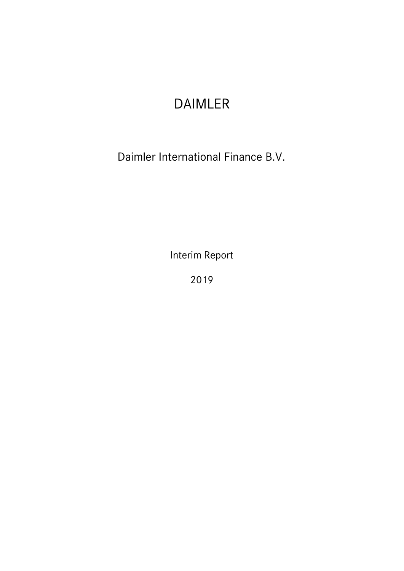# DAIMLER

Daimler International Finance B.V.

Interim Report

2019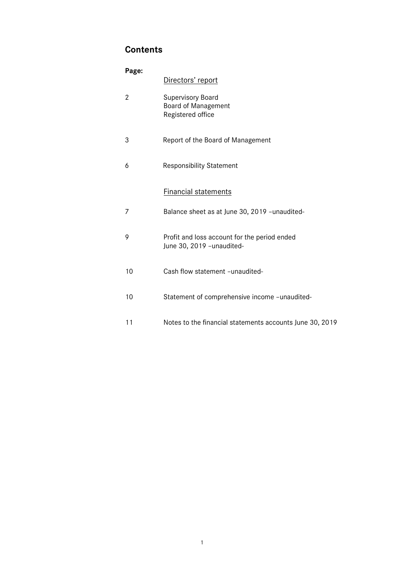# **Contents**

| Page: |                                                                             |
|-------|-----------------------------------------------------------------------------|
|       | Directors' report                                                           |
| 2     | <b>Supervisory Board</b><br><b>Board of Management</b><br>Registered office |
| 3     | Report of the Board of Management                                           |
| 6     | <b>Responsibility Statement</b>                                             |
|       | <b>Financial statements</b>                                                 |
| 7     | Balance sheet as at June 30, 2019 -unaudited-                               |
| 9     | Profit and loss account for the period ended<br>June 30, 2019 - unaudited-  |
| 10    | Cash flow statement -unaudited-                                             |
| 10    | Statement of comprehensive income -unaudited-                               |
| 11    | Notes to the financial statements accounts June 30, 2019                    |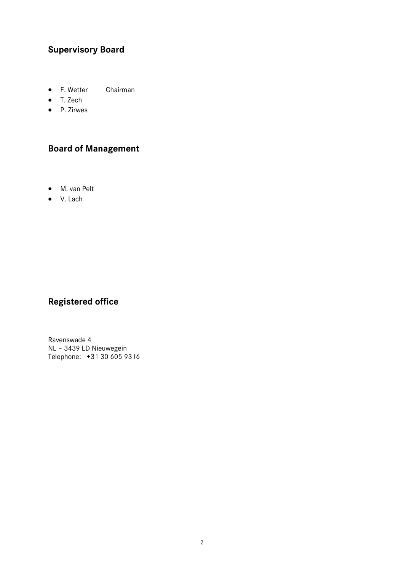# **Supervisory Board**

- F. Wetter Chairman
- T. Zech
- P. Zirwes

# **Board of Management**

- M. van Pelt
- V. Lach

# **Registered office**

Ravenswade 4 NL – 3439 LD Nieuwegein Telephone: +31 30 605 9316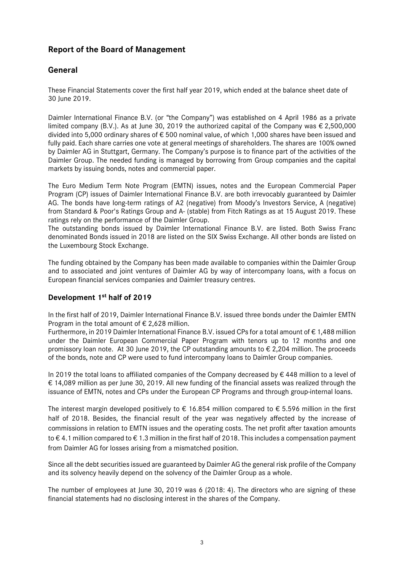# **Report of the Board of Management**

# **General**

These Financial Statements cover the first half year 2019, which ended at the balance sheet date of 30 June 2019.

Daimler International Finance B.V. (or "the Company") was established on 4 April 1986 as a private limited company (B.V.). As at June 30, 2019 the authorized capital of the Company was  $\epsilon$  2,500,000 divided into 5,000 ordinary shares of € 500 nominal value, of which 1,000 shares have been issued and fully paid. Each share carries one vote at general meetings of shareholders. The shares are 100% owned by Daimler AG in Stuttgart, Germany. The Company's purpose is to finance part of the activities of the Daimler Group. The needed funding is managed by borrowing from Group companies and the capital markets by issuing bonds, notes and commercial paper.

The Euro Medium Term Note Program (EMTN) issues, notes and the European Commercial Paper Program (CP) issues of Daimler International Finance B.V. are both irrevocably guaranteed by Daimler AG. The bonds have long-term ratings of A2 (negative) from Moody's Investors Service, A (negative) from Standard & Poor's Ratings Group and A- (stable) from Fitch Ratings as at 15 August 2019. These ratings rely on the performance of the Daimler Group.

The outstanding bonds issued by Daimler International Finance B.V. are listed. Both Swiss Franc denominated Bonds issued in 2018 are listed on the SIX Swiss Exchange. All other bonds are listed on the Luxembourg Stock Exchange.

The funding obtained by the Company has been made available to companies within the Daimler Group and to associated and joint ventures of Daimler AG by way of intercompany loans, with a focus on European financial services companies and Daimler treasury centres.

### **Development 1st half of 2019**

In the first half of 2019, Daimler International Finance B.V. issued three bonds under the Daimler EMTN Program in the total amount of  $\epsilon$  2.628 million.

Furthermore, in 2019 Daimler International Finance B.V. issued CPs for a total amount of € 1,488 million under the Daimler European Commercial Paper Program with tenors up to 12 months and one promissory loan note. At 30 June 2019, the CP outstanding amounts to € 2,204 million. The proceeds of the bonds, note and CP were used to fund intercompany loans to Daimler Group companies.

In 2019 the total loans to affiliated companies of the Company decreased by € 448 million to a level of € 14,089 million as per June 30, 2019. All new funding of the financial assets was realized through the issuance of EMTN, notes and CPs under the European CP Programs and through group-internal loans.

The interest margin developed positively to  $\epsilon$  16.854 million compared to  $\epsilon$  5.596 million in the first half of 2018. Besides, the financial result of the year was negatively affected by the increase of commissions in relation to EMTN issues and the operating costs. The net profit after taxation amounts to € 4.1 million compared to € 1.3 million in the first half of 2018. This includes a compensation payment from Daimler AG for losses arising from a mismatched position.

Since all the debt securities issued are guaranteed by Daimler AG the general risk profile of the Company and its solvency heavily depend on the solvency of the Daimler Group as a whole.

The number of employees at June 30, 2019 was 6 (2018: 4). The directors who are signing of these financial statements had no disclosing interest in the shares of the Company.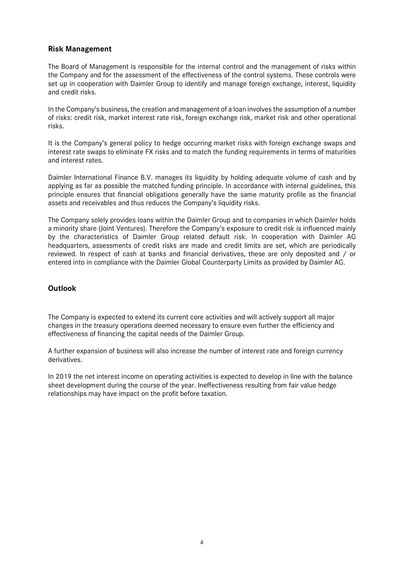#### **Risk Management**

The Board of Management is responsible for the internal control and the management of risks within the Company and for the assessment of the effectiveness of the control systems. These controls were set up in cooperation with Daimler Group to identify and manage foreign exchange, interest, liquidity and credit risks.

In the Company's business, the creation and management of a loan involves the assumption of a number of risks: credit risk, market interest rate risk, foreign exchange risk, market risk and other operational risks.

It is the Company's general policy to hedge occurring market risks with foreign exchange swaps and interest rate swaps to eliminate FX risks and to match the funding requirements in terms of maturities and interest rates.

Daimler International Finance B.V. manages its liquidity by holding adequate volume of cash and by applying as far as possible the matched funding principle. In accordance with internal guidelines, this principle ensures that financial obligations generally have the same maturity profile as the financial assets and receivables and thus reduces the Company's liquidity risks.

The Company solely provides loans within the Daimler Group and to companies in which Daimler holds a minority share (Joint Ventures). Therefore the Company's exposure to credit risk is influenced mainly by the characteristics of Daimler Group related default risk. In cooperation with Daimler AG headquarters, assessments of credit risks are made and credit limits are set, which are periodically reviewed. In respect of cash at banks and financial derivatives, these are only deposited and / or entered into in compliance with the Daimler Global Counterparty Limits as provided by Daimler AG.

#### **Outlook**

The Company is expected to extend its current core activities and will actively support all major changes in the treasury operations deemed necessary to ensure even further the efficiency and effectiveness of financing the capital needs of the Daimler Group.

A further expansion of business will also increase the number of interest rate and foreign currency derivatives.

In 2019 the net interest income on operating activities is expected to develop in line with the balance sheet development during the course of the year. Ineffectiveness resulting from fair value hedge relationships may have impact on the profit before taxation.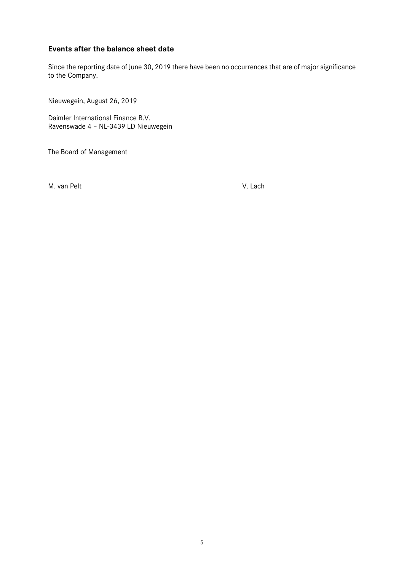### **Events after the balance sheet date**

Since the reporting date of June 30, 2019 there have been no occurrences that are of major significance to the Company.

Nieuwegein, August 26, 2019

Daimler International Finance B.V. Ravenswade 4 – NL-3439 LD Nieuwegein

The Board of Management

M. van Pelt V. Lach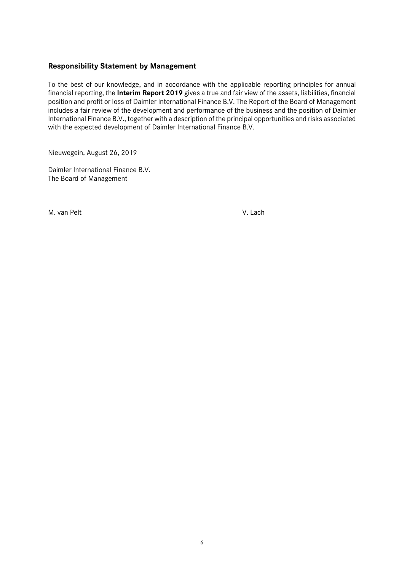#### **Responsibility Statement by Management**

To the best of our knowledge, and in accordance with the applicable reporting principles for annual financial reporting, the **Interim Report 2019** gives a true and fair view of the assets, liabilities, financial position and profit or loss of Daimler International Finance B.V. The Report of the Board of Management includes a fair review of the development and performance of the business and the position of Daimler International Finance B.V., together with a description of the principal opportunities and risks associated with the expected development of Daimler International Finance B.V.

Nieuwegein, August 26, 2019

Daimler International Finance B.V. The Board of Management

M. van Pelt V. Lach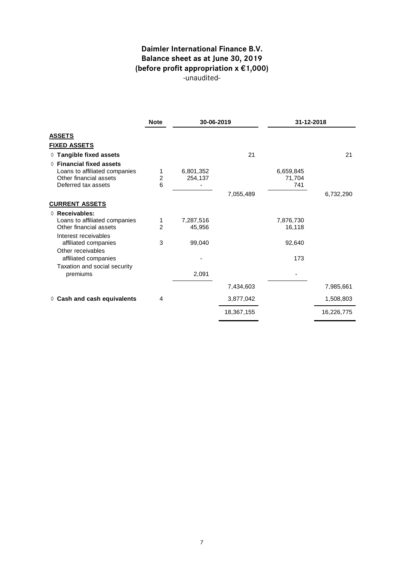# **Daimler International Finance B.V. Balance sheet as at June 30, 2019 (before profit appropriation x €1,000)** -unaudited-

|                                      | <b>Note</b>    |           | 30-06-2019 |           | 31-12-2018 |
|--------------------------------------|----------------|-----------|------------|-----------|------------|
| <b>ASSETS</b>                        |                |           |            |           |            |
| <u>FIXED ASSETS</u>                  |                |           |            |           |            |
| ◊ Tangible fixed assets              |                |           | 21         |           | 21         |
| $\Diamond$ Financial fixed assets    |                |           |            |           |            |
| Loans to affiliated companies        | 1              | 6,801,352 |            | 6,659,845 |            |
| Other financial assets               | $\overline{c}$ | 254,137   |            | 71,704    |            |
| Deferred tax assets                  | 6              |           |            | 741       |            |
|                                      |                |           | 7,055,489  |           | 6,732,290  |
| <b>CURRENT ASSETS</b>                |                |           |            |           |            |
| $\Diamond$ Receivables:              |                |           |            |           |            |
| Loans to affiliated companies        | 1              | 7,287,516 |            | 7,876,730 |            |
| Other financial assets               | $\mathfrak{p}$ | 45,956    |            | 16,118    |            |
| Interest receivables                 |                |           |            |           |            |
| affiliated companies                 | 3              | 99,040    |            | 92,640    |            |
| Other receivables                    |                |           |            |           |            |
| affiliated companies                 |                |           |            | 173       |            |
| Taxation and social security         |                |           |            |           |            |
| premiums                             |                | 2,091     |            |           |            |
|                                      |                |           | 7,434,603  |           | 7,985,661  |
| $\diamond$ Cash and cash equivalents | 4              |           | 3,877,042  |           | 1,508,803  |
|                                      |                |           | 18,367,155 |           | 16,226,775 |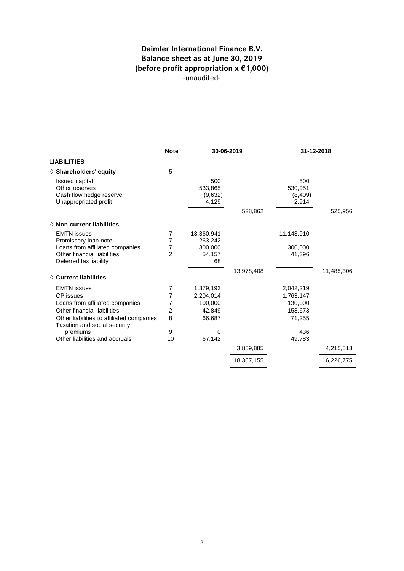# **Daimler International Finance B.V. Balance sheet as at June 30, 2019 (before profit appropriation x €1,000)** -unaudited-

|                                                                                             | <b>Note</b>    | 30-06-2019                         |            | 31-12-2018                         |            |
|---------------------------------------------------------------------------------------------|----------------|------------------------------------|------------|------------------------------------|------------|
| <b>LIABILITIES</b>                                                                          |                |                                    |            |                                    |            |
| $\Diamond$ Shareholders' equity                                                             | 5              |                                    |            |                                    |            |
| <b>Issued capital</b><br>Other reserves<br>Cash flow hedge reserve<br>Unappropriated profit |                | 500<br>533,865<br>(9,632)<br>4,129 |            | 500<br>530,951<br>(8,409)<br>2,914 |            |
|                                                                                             |                |                                    | 528,862    |                                    | 525,956    |
| $\Diamond$ Non-current liabilities                                                          |                |                                    |            |                                    |            |
| <b>EMTN</b> issues<br>Promissory loan note                                                  | 7<br>7         | 13,360,941<br>263,242              |            | 11,143,910                         |            |
| Loans from affiliated companies                                                             | 7              | 300,000                            |            | 300,000                            |            |
| Other financial liabilities<br>Deferred tax liability                                       | $\overline{2}$ | 54,157<br>68                       |            | 41,396                             |            |
| ♦ Current liabilities                                                                       |                |                                    | 13,978,408 |                                    | 11,485,306 |
| <b>EMTN</b> issues                                                                          | 7              | 1,379,193                          |            | 2,042,219                          |            |
| CP issues                                                                                   | 7              | 2,204,014                          |            | 1,763,147                          |            |
| Loans from affiliated companies                                                             | 7              | 100,000                            |            | 130,000                            |            |
| Other financial liabilities                                                                 | 2              | 42,849                             |            | 158.673                            |            |
| Other liabilities to affiliated companies<br>Taxation and social security                   | 8              | 66,687                             |            | 71,255                             |            |
| premiums                                                                                    | 9              | 0                                  |            | 436                                |            |
| Other liabilities and accruals                                                              | 10             | 67,142                             |            | 49,783                             |            |
|                                                                                             |                |                                    | 3,859,885  |                                    | 4,215,513  |
|                                                                                             |                |                                    | 18,367,155 |                                    | 16,226,775 |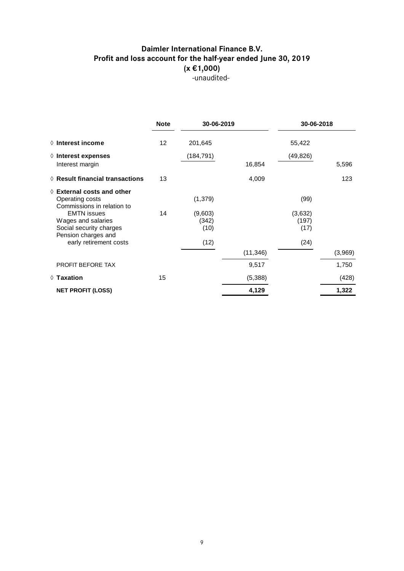# **Daimler International Finance B.V. Profit and loss account for the half-year ended June 30, 2019 (x €1,000)** -unaudited-

|                                                                                            | <b>Note</b> | 30-06-2019               |           | 30-06-2018               |         |
|--------------------------------------------------------------------------------------------|-------------|--------------------------|-----------|--------------------------|---------|
| $\Diamond$ Interest income                                                                 | 12          | 201,645                  |           | 55,422                   |         |
| $\Diamond$ Interest expenses                                                               |             | (184, 791)               |           | (49, 826)                |         |
| Interest margin                                                                            |             |                          | 16,854    |                          | 5,596   |
| $\Diamond$ Result financial transactions                                                   | 13          |                          | 4,009     |                          | 123     |
| $\Diamond$ External costs and other<br>Operating costs<br>Commissions in relation to       |             | (1, 379)                 |           | (99)                     |         |
| <b>EMTN</b> issues<br>Wages and salaries<br>Social security charges<br>Pension charges and | 14          | (9,603)<br>(342)<br>(10) |           | (3,632)<br>(197)<br>(17) |         |
| early retirement costs                                                                     |             | (12)                     |           | (24)                     |         |
|                                                                                            |             |                          | (11, 346) |                          | (3,969) |
| PROFIT BEFORE TAX                                                                          |             |                          | 9,517     |                          | 1,750   |
| $\Diamond$ Taxation                                                                        | 15          |                          | (5,388)   |                          | (428)   |
| <b>NET PROFIT (LOSS)</b>                                                                   |             |                          | 4,129     |                          | 1,322   |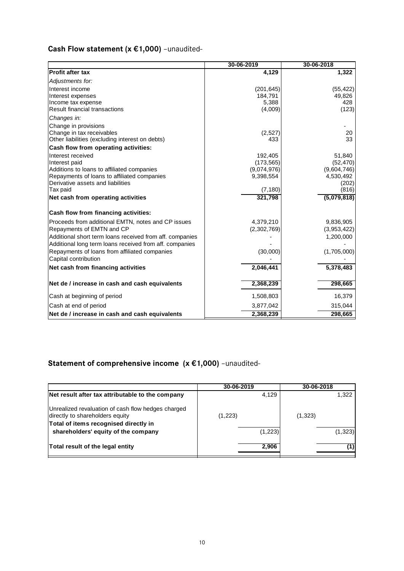# **Cash Flow statement (x €1,000)** –unaudited-

|                                                                                           | 30-06-2019               | 30-06-2018         |
|-------------------------------------------------------------------------------------------|--------------------------|--------------------|
| Profit after tax                                                                          | 4,129                    | 1,322              |
| Adjustments for:                                                                          |                          |                    |
| Interest income                                                                           | (201, 645)               | (55, 422)          |
| Interest expenses                                                                         | 184,791                  | 49,826             |
| Income tax expense                                                                        | 5,388                    | 428                |
| <b>Result financial transactions</b>                                                      | (4,009)                  | (123)              |
| Changes in:                                                                               |                          |                    |
| Change in provisions                                                                      |                          |                    |
| Change in tax receivables                                                                 | (2,527)                  | 20                 |
| Other liabilities (excluding interest on debts)                                           | 433                      | 33                 |
| Cash flow from operating activities:                                                      |                          |                    |
| Interest received                                                                         | 192,405                  | 51,840             |
| Interest paid                                                                             | (173, 565)               | (52, 470)          |
| Additions to loans to affiliated companies<br>Repayments of loans to affiliated companies | (9,074,976)<br>9,398,554 | (9,604,746)        |
| Derivative assets and liabilities                                                         |                          | 4,530,492<br>(202) |
| Tax paid                                                                                  | (7, 180)                 | (816)              |
| Net cash from operating activities                                                        | 321,798                  | (5,079,818)        |
|                                                                                           |                          |                    |
| Cash flow from financing activities:                                                      |                          |                    |
| Proceeds from additional EMTN, notes and CP issues                                        | 4,379,210                | 9,836,905          |
| Repayments of EMTN and CP                                                                 | (2,302,769)              | (3,953,422)        |
| Additional short term loans received from aff. companies                                  |                          | 1,200,000          |
| Additional long term loans received from aff. companies                                   |                          |                    |
| Repayments of loans from affiliated companies                                             | (30,000)                 | (1,705,000)        |
| Capital contribution                                                                      |                          |                    |
| Net cash from financing activities                                                        | 2,046,441                | 5,378,483          |
| Net de / increase in cash and cash equivalents                                            | 2,368,239                | 298,665            |
| Cash at beginning of period                                                               | 1,508,803                | 16,379             |
| Cash at end of period                                                                     | 3,877,042                | 315,044            |
| Net de / increase in cash and cash equivalents                                            | 2,368,239                | 298,665            |

# **Statement of comprehensive income (x €1,000)** –unaudited-

|                                                                                       | 30-06-2019 | 30-06-2018 |
|---------------------------------------------------------------------------------------|------------|------------|
| Net result after tax attributable to the company                                      | 4,129      | 1,322      |
| Unrealized revaluation of cash flow hedges charged<br>directly to shareholders equity | (1,223)    | (1, 323)   |
| Total of items recognised directly in<br>shareholders' equity of the company          | (1,223)    | (1, 323)   |
| Total result of the legal entity                                                      | 2,906      |            |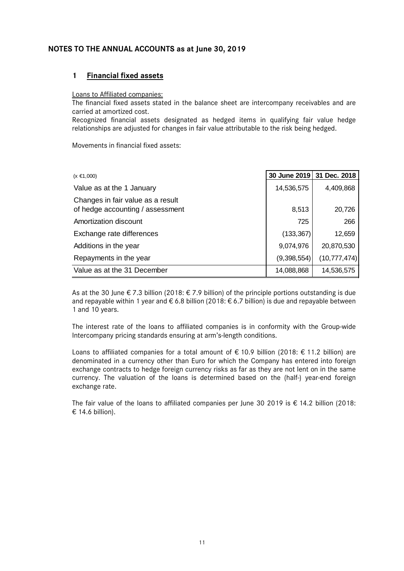#### **NOTES TO THE ANNUAL ACCOUNTS as at June 30, 2019**

#### **1 Financial fixed assets**

#### Loans to Affiliated companies:

The financial fixed assets stated in the balance sheet are intercompany receivables and are carried at amortized cost.

Recognized financial assets designated as hedged items in qualifying fair value hedge relationships are adjusted for changes in fair value attributable to the risk being hedged.

Movements in financial fixed assets:

| $(x \in 1,000)$                                                       | 30 June 2019 | 31 Dec. 2018   |
|-----------------------------------------------------------------------|--------------|----------------|
| Value as at the 1 January                                             | 14,536,575   | 4,409,868      |
| Changes in fair value as a result<br>of hedge accounting / assessment | 8,513        | 20,726         |
| Amortization discount                                                 | 725          | 266            |
| Exchange rate differences                                             | (133, 367)   | 12,659         |
| Additions in the year                                                 | 9,074,976    | 20,870,530     |
| Repayments in the year                                                | (9,398,554)  | (10, 777, 474) |
| Value as at the 31 December                                           | 14,088,868   | 14,536,575     |

As at the 30 June  $\epsilon$  7.3 billion (2018:  $\epsilon$  7.9 billion) of the principle portions outstanding is due and repayable within 1 year and  $\epsilon$  6.8 billion (2018:  $\epsilon$  6.7 billion) is due and repayable between 1 and 10 years.

The interest rate of the loans to affiliated companies is in conformity with the Group-wide Intercompany pricing standards ensuring at arm's-length conditions.

Loans to affiliated companies for a total amount of € 10.9 billion (2018: € 11.2 billion) are denominated in a currency other than Euro for which the Company has entered into foreign exchange contracts to hedge foreign currency risks as far as they are not lent on in the same currency. The valuation of the loans is determined based on the (half-) year-end foreign exchange rate.

The fair value of the loans to affiliated companies per June 30 2019 is  $\epsilon$  14.2 billion (2018: € 14.6 billion).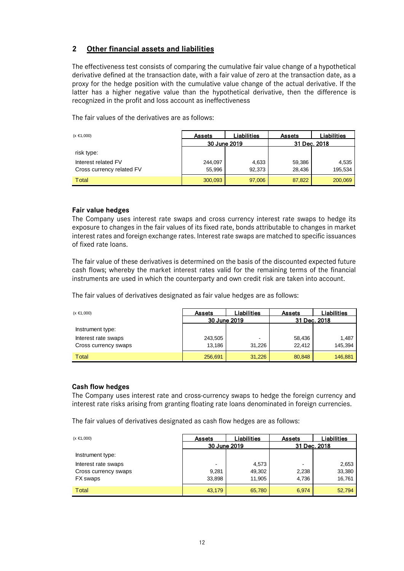### **2 Other financial assets and liabilities**

The effectiveness test consists of comparing the cumulative fair value change of a hypothetical derivative defined at the transaction date, with a fair value of zero at the transaction date, as a proxy for the hedge position with the cumulative value change of the actual derivative. If the latter has a higher negative value than the hypothetical derivative, then the difference is recognized in the profit and loss account as ineffectiveness

The fair values of the derivatives are as follows:

| $(x \in 1,000)$           | <b>Assets</b> | Liabilities | <b>Assets</b> | Liabilities. |
|---------------------------|---------------|-------------|---------------|--------------|
|                           | 30 June 2019  |             | 31 Dec. 2018  |              |
| risk type:                |               |             |               |              |
| Interest related FV       | 244.097       | 4,633       | 59,386        | 4,535        |
| Cross currency related FV | 55,996        | 92.373      | 28,436        | 195,534      |
| Total                     | 300,093       | 97,006      | 87,822        | 200,069      |

#### **Fair value hedges**

The Company uses interest rate swaps and cross currency interest rate swaps to hedge its exposure to changes in the fair values of its fixed rate, bonds attributable to changes in market interest rates and foreign exchange rates. Interest rate swaps are matched to specific issuances of fixed rate loans.

The fair value of these derivatives is determined on the basis of the discounted expected future cash flows; whereby the market interest rates valid for the remaining terms of the financial instruments are used in which the counterparty and own credit risk are taken into account.

The fair values of derivatives designated as fair value hedges are as follows:

| $(x \in 1,000)$      | <b>Assets</b> | Liabilities | <b>Assets</b> | Liabilities. |
|----------------------|---------------|-------------|---------------|--------------|
|                      | 30 June 2019  |             | 31 Dec. 2018  |              |
| Instrument type:     |               |             |               |              |
| Interest rate swaps  | 243,505       |             | 58,436        | 1,487        |
| Cross currency swaps | 13.186        | 31.226      | 22.412        | 145,394      |
| Total                | 256,691       | 31,226      | 80,848        | 146,881      |

#### **Cash flow hedges**

The Company uses interest rate and cross-currency swaps to hedge the foreign currency and interest rate risks arising from granting floating rate loans denominated in foreign currencies.

The fair values of derivatives designated as cash flow hedges are as follows:

| $(x \in 1,000)$                  | <b>Assets</b>   | Liabilities      | <b>Assets</b>  | .iabilities      |              |  |
|----------------------------------|-----------------|------------------|----------------|------------------|--------------|--|
|                                  | 30 June 2019    |                  |                |                  | 31 Dec. 2018 |  |
| Instrument type:                 |                 |                  |                |                  |              |  |
| Interest rate swaps              |                 | 4,573            | $\,$           | 2,653            |              |  |
| Cross currency swaps<br>FX swaps | 9,281<br>33,898 | 49,302<br>11.905 | 2,238<br>4.736 | 33,380<br>16,761 |              |  |
| Total                            | 43,179          | 65,780           | 6,974          | 52,794           |              |  |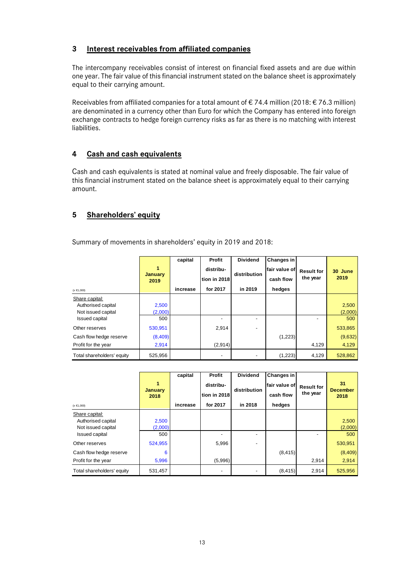### **3 Interest receivables from affiliated companies**

The intercompany receivables consist of interest on financial fixed assets and are due within one year. The fair value of this financial instrument stated on the balance sheet is approximately equal to their carrying amount.

Receivables from affiliated companies for a total amount of  $\epsilon$  74.4 million (2018:  $\epsilon$  76.3 million) are denominated in a currency other than Euro for which the Company has entered into foreign exchange contracts to hedge foreign currency risks as far as there is no matching with interest liabilities.

### **4 Cash and cash equivalents**

Cash and cash equivalents is stated at nominal value and freely disposable. The fair value of this financial instrument stated on the balance sheet is approximately equal to their carrying amount.

### **5 Shareholders' equity**

Summary of movements in shareholders' equity in 2019 and 2018:

|                            | 1<br><b>January</b><br>2019 | capital  | Profit<br>distribu-<br>tion in 2018 | <b>Dividend</b><br>distribution | Changes in<br>lfair value of l<br>cash flow | <b>Result for</b><br>the year | 30 June<br>2019 |
|----------------------------|-----------------------------|----------|-------------------------------------|---------------------------------|---------------------------------------------|-------------------------------|-----------------|
| $(x \in 1,000)$            |                             | increase | for 2017                            | in 2019                         | hedges                                      |                               |                 |
| Share capital:             |                             |          |                                     |                                 |                                             |                               |                 |
| Authorised capital         | 2,500                       |          |                                     |                                 |                                             |                               | 2,500           |
| Not issued capital         | (2,000)                     |          |                                     |                                 |                                             |                               | (2,000)         |
| <b>Issued capital</b>      | 500                         |          |                                     |                                 |                                             | $\blacksquare$                | 500             |
| Other reserves             | 530,951                     |          | 2,914                               |                                 |                                             |                               | 533,865         |
| Cash flow hedge reserve    | (8,409)                     |          |                                     |                                 | (1,223)                                     |                               | (9,632)         |
| Profit for the year        | 2,914                       |          | (2,914)                             |                                 |                                             | 4,129                         | 4,129           |
| Total shareholders' equity | 525,956                     |          | $\overline{\phantom{a}}$            | $\overline{\phantom{a}}$        | (1,223)                                     | 4,129                         | 528,862         |

| $(x \in 1,000)$            | 1<br><b>January</b><br>2018 | capital<br>increase | Profit<br>distribu-<br>tion in 2018<br>for 2017 | <b>Dividend</b><br>distribution<br>in 2018 | Changes in<br>lfair value of l<br>cash flow<br>hedges | <b>Result for</b><br>the year | 31<br><b>December</b><br>2018 |
|----------------------------|-----------------------------|---------------------|-------------------------------------------------|--------------------------------------------|-------------------------------------------------------|-------------------------------|-------------------------------|
| Share capital:             |                             |                     |                                                 |                                            |                                                       |                               |                               |
| Authorised capital         | 2,500                       |                     |                                                 |                                            |                                                       |                               | 2,500                         |
| Not issued capital         | (2,000)                     |                     |                                                 |                                            |                                                       |                               | (2,000)                       |
| <b>Issued capital</b>      | 500                         |                     |                                                 |                                            |                                                       |                               | 500                           |
| Other reserves             | 524,955                     |                     | 5,996                                           |                                            |                                                       |                               | 530,951                       |
| Cash flow hedge reserve    | 6                           |                     |                                                 |                                            | (8, 415)                                              |                               | (8,409)                       |
| Profit for the year        | 5,996                       |                     | (5,996)                                         |                                            |                                                       | 2,914                         | 2,914                         |
| Total shareholders' equity | 531,457                     |                     |                                                 | -                                          | (8, 415)                                              | 2,914                         | 525,956                       |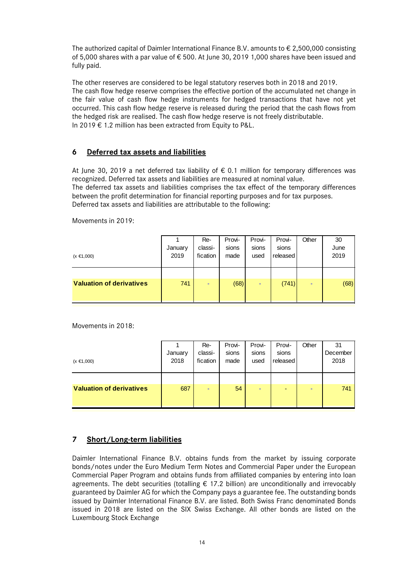The authorized capital of Daimler International Finance B.V. amounts to  $\epsilon$  2,500,000 consisting of 5,000 shares with a par value of  $\epsilon$  500. At June 30, 2019 1,000 shares have been issued and fully paid.

The other reserves are considered to be legal statutory reserves both in 2018 and 2019. The cash flow hedge reserve comprises the effective portion of the accumulated net change in the fair value of cash flow hedge instruments for hedged transactions that have not yet occurred. This cash flow hedge reserve is released during the period that the cash flows from the hedged risk are realised. The cash flow hedge reserve is not freely distributable. In 2019 € 1.2 million has been extracted from Equity to P&L.

### **6 Deferred tax assets and liabilities**

At June 30, 2019 a net deferred tax liability of  $\epsilon$  0.1 million for temporary differences was recognized. Deferred tax assets and liabilities are measured at nominal value. The deferred tax assets and liabilities comprises the tax effect of the temporary differences between the profit determination for financial reporting purposes and for tax purposes. Deferred tax assets and liabilities are attributable to the following:

Movements in 2019:

| $(x \in 1,000)$                 | January<br>2019 | Re-<br>classi-<br>fication | Provi-<br>sions<br>made | Provi-<br>sions<br>used  | Provi-<br>sions<br>released | Other | 30<br>June<br>2019 |
|---------------------------------|-----------------|----------------------------|-------------------------|--------------------------|-----------------------------|-------|--------------------|
| <b>Valuation of derivatives</b> | 741             | ۰                          | (68)                    | $\overline{\phantom{a}}$ | (741)                       | ۰     | (68)               |

Movements in 2018:

|                                 |         | Re-      | Provi- | Provi-                   | Provi-   | Other | 31       |
|---------------------------------|---------|----------|--------|--------------------------|----------|-------|----------|
|                                 | January | classi-  | sions  | sions                    | sions    |       | December |
| $(x \in 1,000)$                 | 2018    | fication | made   | used                     | released |       | 2018     |
|                                 |         |          |        |                          |          |       |          |
|                                 |         |          |        |                          |          |       |          |
| <b>Valuation of derivatives</b> | 687     | ۰        | 54     | $\overline{\phantom{a}}$ | -        | -     | 741      |
|                                 |         |          |        |                          |          |       |          |
|                                 |         |          |        |                          |          |       |          |

#### **7 Short/Long-term liabilities**

Daimler International Finance B.V. obtains funds from the market by issuing corporate bonds/notes under the Euro Medium Term Notes and Commercial Paper under the European Commercial Paper Program and obtains funds from affiliated companies by entering into loan agreements. The debt securities (totalling  $\epsilon$  17.2 billion) are unconditionally and irrevocably guaranteed by Daimler AG for which the Company pays a guarantee fee. The outstanding bonds issued by Daimler International Finance B.V. are listed. Both Swiss Franc denominated Bonds issued in 2018 are listed on the SIX Swiss Exchange. All other bonds are listed on the Luxembourg Stock Exchange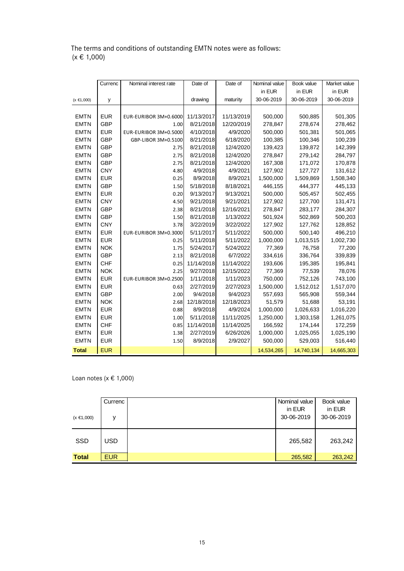|                 |  | The terms and conditions of outstanding EMTN notes were as follows: |  |  |  |
|-----------------|--|---------------------------------------------------------------------|--|--|--|
| $(x \in 1,000)$ |  |                                                                     |  |  |  |

|                 | Currenc    | Nominal interest rate        | Date of    | Date of    | Nominal value | Book value | Market value |
|-----------------|------------|------------------------------|------------|------------|---------------|------------|--------------|
|                 |            |                              |            |            | in EUR        | in EUR     | in EUR       |
| $(x \in 1,000)$ | y          |                              | drawing    | maturity   | 30-06-2019    | 30-06-2019 | 30-06-2019   |
|                 |            |                              |            |            |               |            |              |
| <b>EMTN</b>     | <b>EUR</b> | EUR-EURIBOR 3M+0.6000        | 11/13/2017 | 11/13/2019 | 500,000       | 500,885    | 501,305      |
| <b>EMTN</b>     | <b>GBP</b> | 1.00                         | 8/21/2018  | 12/20/2019 | 278,847       | 278,674    | 278,462      |
| <b>EMTN</b>     | <b>EUR</b> | EUR-EURIBOR 3M+0.5000        | 4/10/2018  | 4/9/2020   | 500,000       | 501,381    | 501,065      |
| <b>EMTN</b>     | GBP        | GBP-LIBOR 3M+0.5100          | 8/21/2018  | 6/18/2020  | 100,385       | 100,346    | 100,239      |
| <b>EMTN</b>     | GBP        | 2.75                         | 8/21/2018  | 12/4/2020  | 139,423       | 139,872    | 142,399      |
| <b>EMTN</b>     | GBP        | 2.75                         | 8/21/2018  | 12/4/2020  | 278,847       | 279,142    | 284,797      |
| <b>EMTN</b>     | GBP        | 2.75                         | 8/21/2018  | 12/4/2020  | 167,308       | 171,072    | 170,878      |
| <b>EMTN</b>     | <b>CNY</b> | 4.80                         | 4/9/2018   | 4/9/2021   | 127,902       | 127,727    | 131,612      |
| <b>EMTN</b>     | <b>EUR</b> | 0.25                         | 8/9/2018   | 8/9/2021   | 1,500,000     | 1,509,869  | 1,508,340    |
| <b>EMTN</b>     | GBP        | 1.50                         | 5/18/2018  | 8/18/2021  | 446,155       | 444,377    | 445,133      |
| <b>EMTN</b>     | <b>EUR</b> | 0.20                         | 9/13/2017  | 9/13/2021  | 500,000       | 505,457    | 502,455      |
| <b>EMTN</b>     | <b>CNY</b> | 4.50                         | 9/21/2018  | 9/21/2021  | 127,902       | 127,700    | 131,471      |
| <b>EMTN</b>     | <b>GBP</b> | 2.38                         | 8/21/2018  | 12/16/2021 | 278,847       | 283,177    | 284,307      |
| <b>EMTN</b>     | <b>GBP</b> | 1.50                         | 8/21/2018  | 1/13/2022  | 501,924       | 502,869    | 500,203      |
| <b>EMTN</b>     | <b>CNY</b> | 3.78                         | 3/22/2019  | 3/22/2022  | 127,902       | 127,762    | 128,852      |
| <b>EMTN</b>     | <b>EUR</b> | EUR-EURIBOR 3M+0.3000        | 5/11/2017  | 5/11/2022  | 500,000       | 500,140    | 496,210      |
| <b>EMTN</b>     | <b>EUR</b> | 0.25                         | 5/11/2018  | 5/11/2022  | 1,000,000     | 1,013,515  | 1,002,730    |
| <b>EMTN</b>     | <b>NOK</b> | 1.75                         | 5/24/2017  | 5/24/2022  | 77,369        | 76,758     | 77,200       |
| <b>EMTN</b>     | <b>GBP</b> | 2.13                         | 8/21/2018  | 6/7/2022   | 334,616       | 336,764    | 339,839      |
| <b>EMTN</b>     | <b>CHF</b> | 0.25                         | 11/14/2018 | 11/14/2022 | 193,606       | 195,385    | 195,841      |
| <b>EMTN</b>     | <b>NOK</b> | 2.25                         | 9/27/2018  | 12/15/2022 | 77,369        | 77,539     | 78,076       |
| <b>EMTN</b>     | <b>EUR</b> | <b>EUR-EURIBOR 3M+0.2500</b> | 1/11/2018  | 1/11/2023  | 750,000       | 752,126    | 743,100      |
| <b>EMTN</b>     | <b>EUR</b> | 0.63                         | 2/27/2019  | 2/27/2023  | 1,500,000     | 1,512,012  | 1,517,070    |
| <b>EMTN</b>     | GBP        | 2.00                         | 9/4/2018   | 9/4/2023   | 557,693       | 565,908    | 559,344      |
| <b>EMTN</b>     | <b>NOK</b> | 2.68                         | 12/18/2018 | 12/18/2023 | 51,579        | 51,688     | 53,191       |
| <b>EMTN</b>     | <b>EUR</b> | 0.88                         | 8/9/2018   | 4/9/2024   | 1,000,000     | 1,026,633  | 1,016,220    |
| <b>EMTN</b>     | <b>EUR</b> | 1.00                         | 5/11/2018  | 11/11/2025 | 1,250,000     | 1,303,158  | 1,261,075    |
| <b>EMTN</b>     | <b>CHF</b> | 0.85                         | 11/14/2018 | 11/14/2025 | 166,592       | 174,144    | 172,259      |
| <b>EMTN</b>     | <b>EUR</b> | 1.38                         | 2/27/2019  | 6/26/2026  | 1,000,000     | 1,025,055  | 1,025,190    |
| <b>EMTN</b>     | <b>EUR</b> | 1.50                         | 8/9/2018   | 2/9/2027   | 500,000       | 529,003    | 516,440      |
| <b>Total</b>    | <b>EUR</b> |                              |            |            | 14,534,265    | 14,740,134 | 14,665,303   |

Loan notes ( $x \in 1,000$ )

|                 | Currenc    | Nominal value        | Book value           |
|-----------------|------------|----------------------|----------------------|
| $(x \in 1,000)$ | v          | in EUR<br>30-06-2019 | in EUR<br>30-06-2019 |
| <b>SSD</b>      | <b>USD</b> | 265,582              | 263,242              |
| <b>Total</b>    | <b>EUR</b> | 265,582              | 263,242              |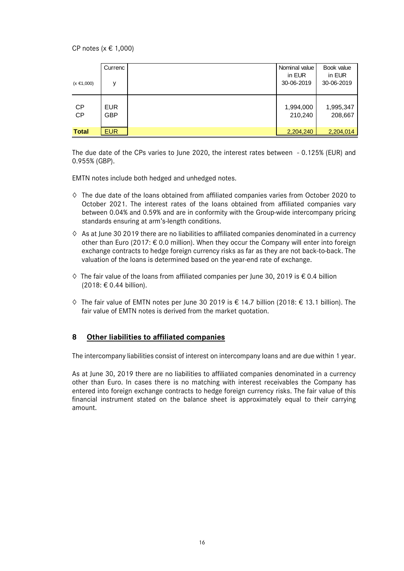CP notes (x € 1,000)

|                 | Currenc    | Nominal value I<br>in EUR | Book value<br>in EUR |
|-----------------|------------|---------------------------|----------------------|
| $(x \in 1,000)$ | v          | 30-06-2019                | 30-06-2019           |
|                 |            |                           |                      |
| <b>CP</b>       | <b>EUR</b> | 1,994,000                 | 1,995,347            |
| <b>CP</b>       | GBP        | 210,240                   | 208,667              |
|                 |            |                           |                      |
| <b>Total</b>    | <b>EUR</b> | 2,204,240                 | 2,204,014            |

The due date of the CPs varies to June 2020, the interest rates between - 0.125% (EUR) and 0.955% (GBP).

EMTN notes include both hedged and unhedged notes.

- **◊** The due date of the loans obtained from affiliated companies varies from October 2020 to October 2021. The interest rates of the loans obtained from affiliated companies vary between 0.04% and 0.59% and are in conformity with the Group-wide intercompany pricing standards ensuring at arm's-length conditions.
- **◊** As at June 30 2019 there are no liabilities to affiliated companies denominated in a currency other than Euro (2017: € 0.0 million). When they occur the Company will enter into foreign exchange contracts to hedge foreign currency risks as far as they are not back-to-back. The valuation of the loans is determined based on the year-end rate of exchange.
- **◊** The fair value of the loans from affiliated companies per June 30, 2019 is € 0.4 billion (2018: € 0.44 billion).
- **◊** The fair value of EMTN notes per June 30 2019 is € 14.7 billion (2018: € 13.1 billion). The fair value of EMTN notes is derived from the market quotation.

#### **8 Other liabilities to affiliated companies**

The intercompany liabilities consist of interest on intercompany loans and are due within 1 year.

As at June 30, 2019 there are no liabilities to affiliated companies denominated in a currency other than Euro. In cases there is no matching with interest receivables the Company has entered into foreign exchange contracts to hedge foreign currency risks. The fair value of this financial instrument stated on the balance sheet is approximately equal to their carrying amount.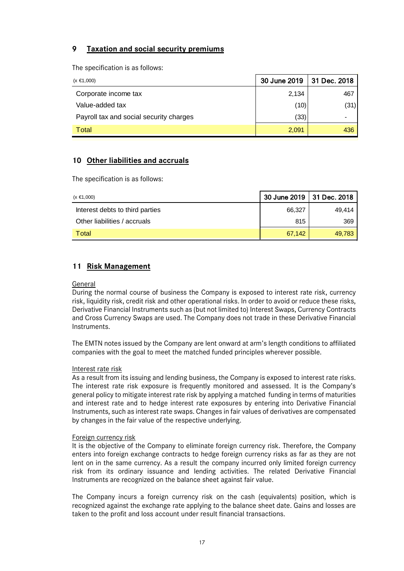### **9 Taxation and social security premiums**

The specification is as follows:

| $(x \in 1,000)$                         | 30 June 2019 | 31 Dec. 2018 |
|-----------------------------------------|--------------|--------------|
| Corporate income tax                    | 2,134        | 467          |
| Value-added tax                         | (10)         | (31)         |
| Payroll tax and social security charges | (33)         |              |
| Total                                   | 2,091        | 436          |

### **10 Other liabilities and accruals**

The specification is as follows:

| $(x \in 1,000)$                 | 30 June 2019   31 Dec. 2018 |        |
|---------------------------------|-----------------------------|--------|
| Interest debts to third parties | 66.327                      | 49.414 |
| Other liabilities / accruals    | 815                         | 369    |
| Total                           | 67.142                      | 49.783 |

### **11 Risk Management**

#### General

During the normal course of business the Company is exposed to interest rate risk, currency risk, liquidity risk, credit risk and other operational risks. In order to avoid or reduce these risks, Derivative Financial Instruments such as (but not limited to) Interest Swaps, Currency Contracts and Cross Currency Swaps are used. The Company does not trade in these Derivative Financial Instruments.

The EMTN notes issued by the Company are lent onward at arm's length conditions to affiliated companies with the goal to meet the matched funded principles wherever possible.

#### Interest rate risk

As a result from its issuing and lending business, the Company is exposed to interest rate risks. The interest rate risk exposure is frequently monitored and assessed. It is the Company's general policy to mitigate interest rate risk by applying a matched funding in terms of maturities and interest rate and to hedge interest rate exposures by entering into Derivative Financial Instruments, such as interest rate swaps. Changes in fair values of derivatives are compensated by changes in the fair value of the respective underlying.

#### Foreign currency risk

It is the objective of the Company to eliminate foreign currency risk. Therefore, the Company enters into foreign exchange contracts to hedge foreign currency risks as far as they are not lent on in the same currency. As a result the company incurred only limited foreign currency risk from its ordinary issuance and lending activities. The related Derivative Financial Instruments are recognized on the balance sheet against fair value.

The Company incurs a foreign currency risk on the cash (equivalents) position, which is recognized against the exchange rate applying to the balance sheet date. Gains and losses are taken to the profit and loss account under result financial transactions.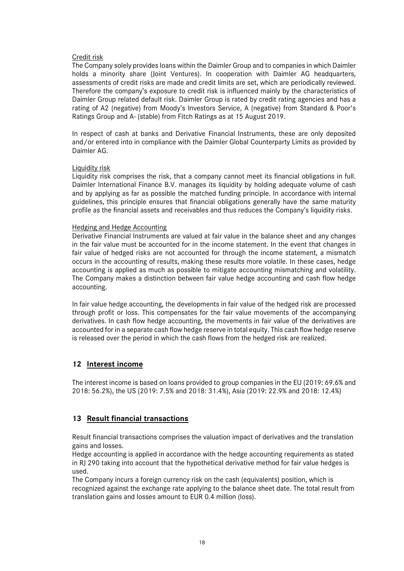#### Credit risk

The Company solely provides loans within the Daimler Group and to companies in which Daimler holds a minority share (Joint Ventures). In cooperation with Daimler AG headquarters, assessments of credit risks are made and credit limits are set, which are periodically reviewed. Therefore the company's exposure to credit risk is influenced mainly by the characteristics of Daimler Group related default risk. Daimler Group is rated by credit rating agencies and has a rating of A2 (negative) from Moody's Investors Service, A (negative) from Standard & Poor's Ratings Group and A- (stable) from Fitch Ratings as at 15 August 2019.

In respect of cash at banks and Derivative Financial Instruments, these are only deposited and/or entered into in compliance with the Daimler Global Counterparty Limits as provided by Daimler AG.

#### Liquidity risk

Liquidity risk comprises the risk, that a company cannot meet its financial obligations in full. Daimler International Finance B.V. manages its liquidity by holding adequate volume of cash and by applying as far as possible the matched funding principle. In accordance with internal guidelines, this principle ensures that financial obligations generally have the same maturity profile as the financial assets and receivables and thus reduces the Company's liquidity risks.

#### Hedging and Hedge Accounting

Derivative Financial Instruments are valued at fair value in the balance sheet and any changes in the fair value must be accounted for in the income statement. In the event that changes in fair value of hedged risks are not accounted for through the income statement, a mismatch occurs in the accounting of results, making these results more volatile. In these cases, hedge accounting is applied as much as possible to mitigate accounting mismatching and volatility. The Company makes a distinction between fair value hedge accounting and cash flow hedge accounting.

In fair value hedge accounting, the developments in fair value of the hedged risk are processed through profit or loss. This compensates for the fair value movements of the accompanying derivatives. In cash flow hedge accounting, the movements in fair value of the derivatives are accounted for in a separate cash flow hedge reserve in total equity. This cash flow hedge reserve is released over the period in which the cash flows from the hedged risk are realized.

#### **12 Interest income**

The interest income is based on loans provided to group companies in the EU (2019: 69.6% and 2018: 56.2%), the US (2019: 7.5% and 2018: 31.4%), Asia (2019: 22.9% and 2018: 12.4%)

### **13 Result financial transactions**

Result financial transactions comprises the valuation impact of derivatives and the translation gains and losses.

Hedge accounting is applied in accordance with the hedge accounting requirements as stated in RJ 290 taking into account that the hypothetical derivative method for fair value hedges is used.

The Company incurs a foreign currency risk on the cash (equivalents) position, which is recognized against the exchange rate applying to the balance sheet date. The total result from translation gains and losses amount to EUR 0.4 million (loss).